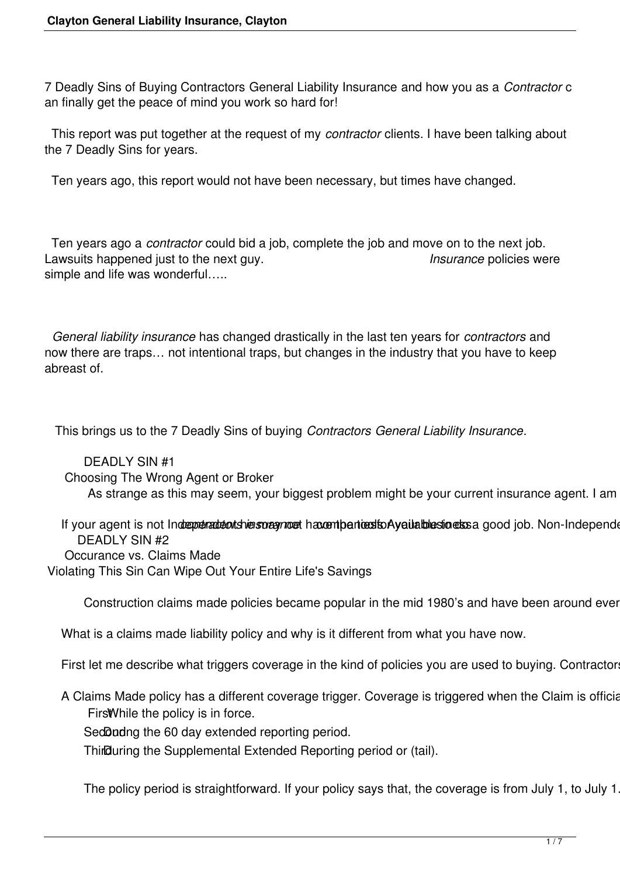7 Deadly Sins of Buying Contractors General Liability Insurance and how you as a *Contractor* c an finally get the peace of mind you work so hard for!

 This report was put together at the request of my *contractor* clients. I have been talking about the 7 Deadly Sins for years.

Ten years ago, this report would not have been necessary, but times have changed.

 Ten years ago a *contractor* could bid a job, complete the job and move on to the next job. Lawsuits happened just to the next guy. *Insurance* policies were simple and life was wonderful…..

 *General liability insurance* has changed drastically in the last ten years for *contractors* and now there are traps… not intentional traps, but changes in the industry that you have to keep abreast of.

This brings us to the 7 Deadly Sins of buying *Contractors General Liability Insurance*.

 DEADLY SIN #1 Choosing The Wrong Agent or Broker As strange as this may seem, your biggest problem might be your current insurance agent. I am

If your agent is not Indreprenadent shiers or agriced havent particularly attached to essay good job. Non-Independent DEADLY SIN #2 Occurance vs. Claims Made Violating This Sin Can Wipe Out Your Entire Life's Savings

Construction claims made policies became popular in the mid 1980's and have been around ever

What is a claims made liability policy and why is it different from what you have now.

First let me describe what triggers coverage in the kind of policies you are used to buying. Contractor

A Claims Made policy has a different coverage trigger. Coverage is triggered when the Claim is official Firs While the policy is in force.

SedDudng the 60 day extended reporting period.

Third Uuring the Supplemental Extended Reporting period or (tail).

The policy period is straightforward. If your policy says that, the coverage is from July 1, to July 1.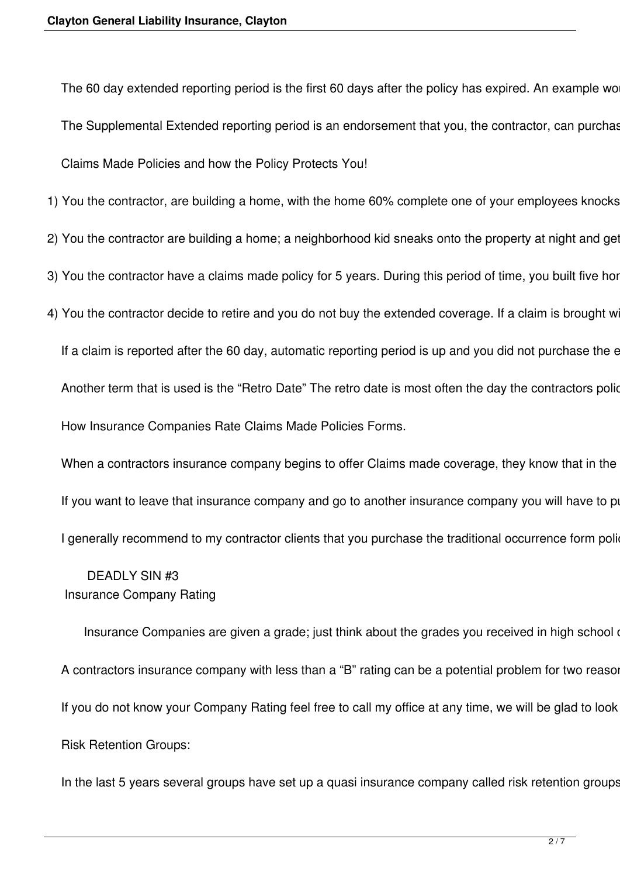The 60 day extended reporting period is the first 60 days after the policy has expired. An example wo The Supplemental Extended reporting period is an endorsement that you, the contractor, can purchas Claims Made Policies and how the Policy Protects You!

1) You the contractor, are building a home, with the home 60% complete one of your employees knocks

- 2) You the contractor are building a home; a neighborhood kid sneaks onto the property at night and get
- 3) You the contractor have a claims made policy for 5 years. During this period of time, you built five hor
- 4) You the contractor decide to retire and you do not buy the extended coverage. If a claim is brought w

If a claim is reported after the 60 day, automatic reporting period is up and you did not purchase the e Another term that is used is the "Retro Date" The retro date is most often the day the contractors police How Insurance Companies Rate Claims Made Policies Forms.

When a contractors insurance company begins to offer Claims made coverage, they know that in the If you want to leave that insurance company and go to another insurance company you will have to po I generally recommend to my contractor clients that you purchase the traditional occurrence form poli-

## DEADLY SIN #3 Insurance Company Rating

Insurance Companies are given a grade; just think about the grades you received in high school or college. A,B,C,D,F. Insurance Companies are given a grade; just think about the grades you received in high school A contractors insurance company with less than a "B" rating can be a potential problem for two reasor If you do not know your Company Rating feel free to call my office at any time, we will be glad to look Risk Retention Groups:

In the last 5 years several groups have set up a quasi insurance company called risk retention groups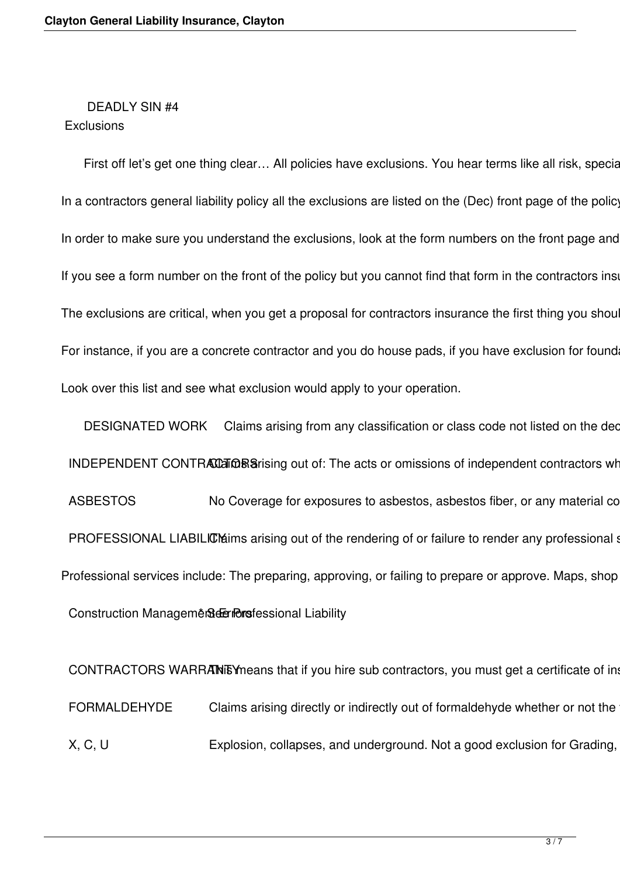#### DEADLY SIN #4 **Exclusions**

First off let's get one thing clear... All policies have exclusions. You hear terms like all risk, special form, comprehensive, full contain the are not mean there are no exclusions. There are no exclusions. There are no e In a contractors general liability policy all the exclusions are listed on the (Dec) front page of the policy In order to make sure you understand the exclusions, look at the form numbers on the front page and If you see a form number on the front of the policy but you cannot find that form in the contractors insection The exclusions are critical, when you get a proposal for contractors insurance the first thing you shou For instance, if you are a concrete contractor and you do house pads, if you have exclusion for found Look over this list and see what exclusion would apply to your operation.

DESIGNATED WORK Claims arising from any classification or class code not listed on the dec INDEPENDENT CONTRACCER Sarising out of: The acts or omissions of independent contractors wh ASBESTOS No Coverage for exposures to asbestos, asbestos fiber, or any material co PROFESSIONAL LIABILICM arising out of the rendering of or failure to render any professional state. Professional services include: The preparing, approving, or failing to prepare or approve. Maps, shop Construction Management Gerriors fessional Liability

CONTRACTORS WARRANEY means that if you hire sub contractors, you must get a certificate of in FORMALDEHYDE Claims arising directly or indirectly out of formaldehyde whether or not the X, C, U Explosion, collapses, and underground. Not a good exclusion for Grading,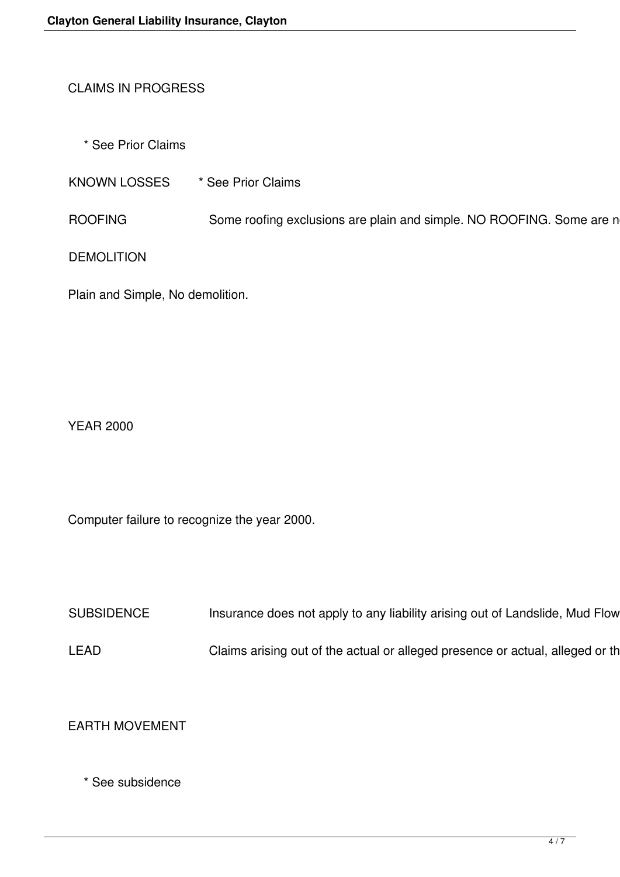# CLAIMS IN PROGRESS

\* See Prior Claims

KNOWN LOSSES \* See Prior Claims

ROOFING Some roofing exclusions are plain and simple. NO ROOFING. Some are n

DEMOLITION

Plain and Simple, No demolition.

YEAR 2000

Computer failure to recognize the year 2000.

SUBSIDENCE Insurance does not apply to any liability arising out of Landslide, Mud Flow

LEAD Claims arising out of the actual or alleged presence or actual, alleged or th

EARTH MOVEMENT

\* See subsidence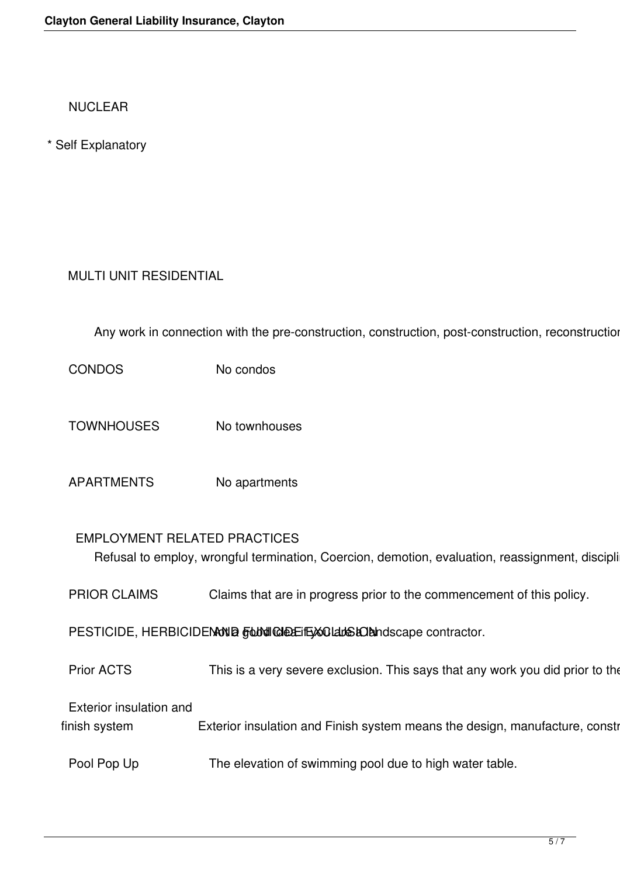NUCLEAR

\* Self Explanatory

# MULTI UNIT RESIDENTIAL

Any work in connection with the pre-construction, construction, post-construction, reconstruction

CONDOS No condos

- TOWNHOUSES No townhouses
- APARTMENTS No apartments

#### EMPLOYMENT RELATED PRACTICES

Refusal to employ, wrongful termination, Coercion, demotion, evaluation, reassignment, discipli

PRIOR CLAIMS Claims that are in progress prior to the commencement of this policy.

PESTICIDE, HERBICIDENNING FUNICIDE EXCLUSION Not accept contractor.

Prior ACTS This is a very severe exclusion. This says that any work you did prior to the

Exterior insulation and

finish system Exterior insulation and Finish system means the design, manufacture, constr

Pool Pop Up The elevation of swimming pool due to high water table.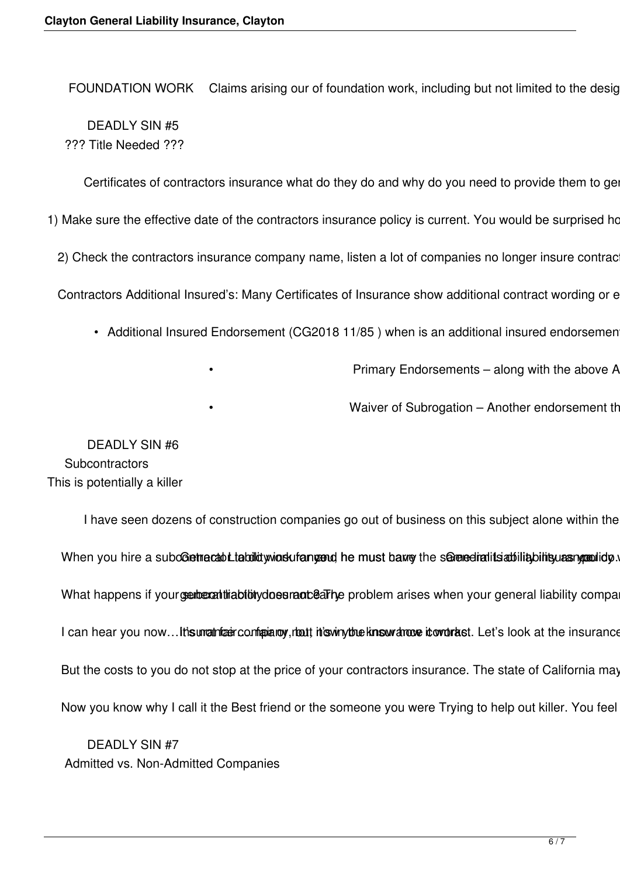FOUNDATION WORK Claims arising our of foundation work, including but not limited to the desig DEADLY SIN #5 ??? Title Needed ???

Certificates of contractors insurance what do they do and why do you need to provide them to ge

1) Make sure the effective date of the contractors insurance policy is current. You would be surprised ho

2) Check the contractors insurance company name, listen a lot of companies no longer insure contrac

Contractors Additional Insured's: Many Certificates of Insurance show additional contract wording or e

- Additional Insured Endorsement (CG2018 11/85) when is an additional insured endorsemen
	-

Primary Endorsements - along with the above A

Waiver of Subrogation – Another endorsement th

 DEADLY SIN #6 **Subcontractors** This is potentially a killer

I have seen dozens of construction companies go out of business on this subject alone within the When you hire a subcoetracabilitiquid winds uf angend he must barry the senered ratits at iliability bility as What happens if your serior at this bibity does rand earlier problem arises when your general liability compa I can hear you now...It is unatrized configurative, that this winy the know drove it over tast. Let's look at the insurance But the costs to you do not stop at the price of your contractors insurance. The state of California may Now you know why I call it the Best friend or the someone you were Trying to help out killer. You feel

 DEADLY SIN #7 Admitted vs. Non-Admitted Companies